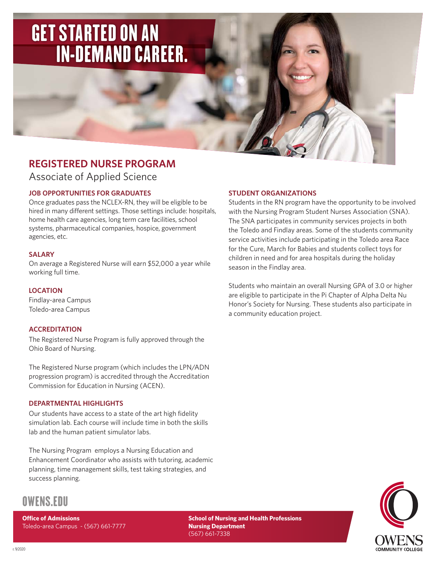# GET STARTED ON AN IN-DEMAND CAREER.

## **REGISTERED NURSE PROGRAM**

Associate of Applied Science

## **JOB OPPORTUNITIES FOR GRADUATES**

Once graduates pass the NCLEX-RN, they will be eligible to be hired in many different settings. Those settings include: hospitals, home health care agencies, long term care facilities, school systems, pharmaceutical companies, hospice, government agencies, etc.

### **SALARY**

On average a Registered Nurse will earn \$52,000 a year while working full time.

## **LOCATION**

Findlay-area Campus Toledo-area Campus

## **ACCREDITATION**

The Registered Nurse Program is fully approved through the Ohio Board of Nursing.

The Registered Nurse program (which includes the LPN/ADN progression program) is accredited through the Accreditation Commission for Education in Nursing (ACEN).

### **DEPARTMENTAL HIGHLIGHTS**

Our students have access to a state of the art high fidelity simulation lab. Each course will include time in both the skills lab and the human patient simulator labs.

The Nursing Program employs a Nursing Education and Enhancement Coordinator who assists with tutoring, academic planning, time management skills, test taking strategies, and success planning.

## **STUDENT ORGANIZATIONS**

Students in the RN program have the opportunity to be involved with the Nursing Program Student Nurses Association (SNA). The SNA participates in community services projects in both the Toledo and Findlay areas. Some of the students community service activities include participating in the Toledo area Race for the Cure, March for Babies and students collect toys for children in need and for area hospitals during the holiday season in the Findlay area.

Students who maintain an overall Nursing GPA of 3.0 or higher are eligible to participate in the Pi Chapter of Alpha Delta Nu Honor's Society for Nursing. These students also participate in a community education project.



# OWENS.EDU

**Office of Admissions** 

Toledo-area Campus - (567) 661-7777

**School of Nursing and Health Professions Nursing Department** (567) 661-7338